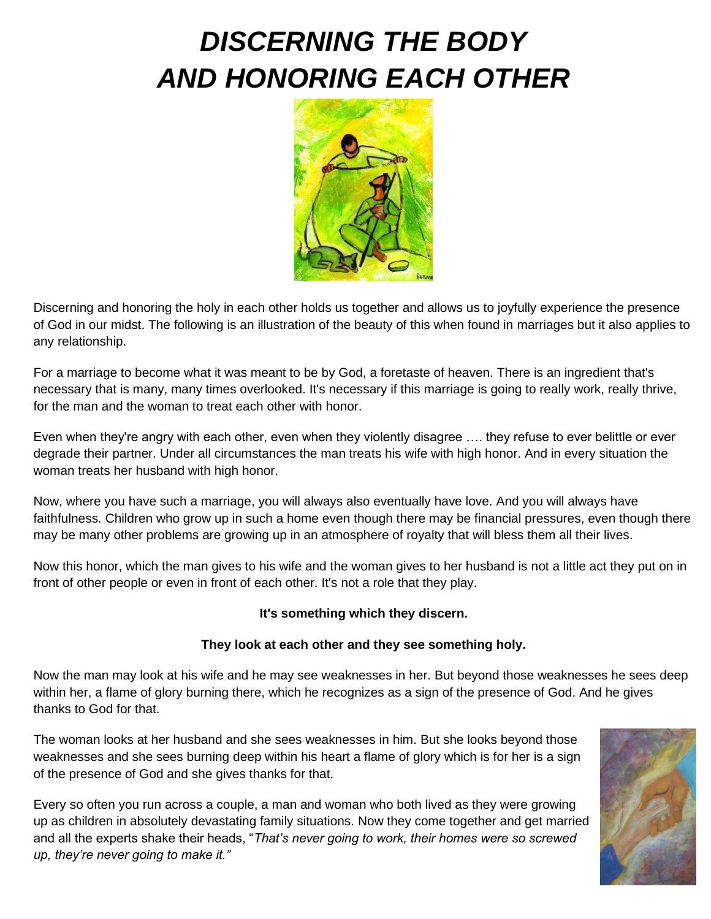# *DISCERNING THE BODY AND HONORING EACH OTHER*



Discerning and honoring the holy in each other holds us together and allows us to joyfully experience the presence of God in our midst. The following is an illustration of the beauty of this when found in marriages but it also applies to any relationship.

For a marriage to become what it was meant to be by God, a foretaste of heaven. There is an ingredient that's necessary that is many, many times overlooked. It's necessary if this marriage is going to really work, really thrive, for the man and the woman to treat each other with honor.

Even when they're angry with each other, even when they violently disagree …. they refuse to ever belittle or ever degrade their partner. Under all circumstances the man treats his wife with high honor. And in every situation the woman treats her husband with high honor.

Now, where you have such a marriage, you will always also eventually have love. And you will always have faithfulness. Children who grow up in such a home even though there may be financial pressures, even though there may be many other problems are growing up in an atmosphere of royalty that will bless them all their lives.

Now this honor, which the man gives to his wife and the woman gives to her husband is not a little act they put on in front of other people or even in front of each other. It's not a role that they play.

## **It's something which they discern.**

## **They look at each other and they see something holy.**

Now the man may look at his wife and he may see weaknesses in her. But beyond those weaknesses he sees deep within her, a flame of glory burning there, which he recognizes as a sign of the presence of God. And he gives thanks to God for that.

The woman looks at her husband and she sees weaknesses in him. But she looks beyond those weaknesses and she sees burning deep within his heart a flame of glory which is for her is a sign of the presence of God and she gives thanks for that.

Every so often you run across a couple, a man and woman who both lived as they were growing up as children in absolutely devastating family situations. Now they come together and get married and all the experts shake their heads, "*That's never going to work, their homes were so screwed up, they're never going to make it."*

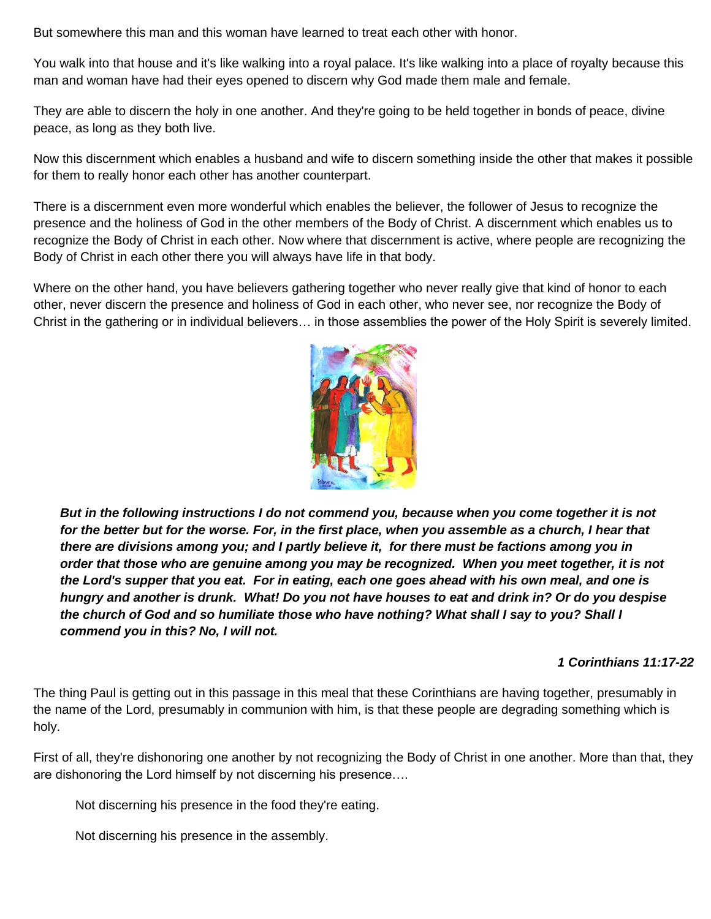But somewhere this man and this woman have learned to treat each other with honor.

You walk into that house and it's like walking into a royal palace. It's like walking into a place of royalty because this man and woman have had their eyes opened to discern why God made them male and female.

They are able to discern the holy in one another. And they're going to be held together in bonds of peace, divine peace, as long as they both live.

Now this discernment which enables a husband and wife to discern something inside the other that makes it possible for them to really honor each other has another counterpart.

There is a discernment even more wonderful which enables the believer, the follower of Jesus to recognize the presence and the holiness of God in the other members of the Body of Christ. A discernment which enables us to recognize the Body of Christ in each other. Now where that discernment is active, where people are recognizing the Body of Christ in each other there you will always have life in that body.

Where on the other hand, you have believers gathering together who never really give that kind of honor to each other, never discern the presence and holiness of God in each other, who never see, nor recognize the Body of Christ in the gathering or in individual believers… in those assemblies the power of the Holy Spirit is severely limited.



*But in the following instructions I do not commend you, because when you come together it is not*  for the better but for the worse. For, in the first place, when you assemble as a church, I hear that *there are divisions among you; and I partly believe it, for there must be factions among you in order that those who are genuine among you may be recognized. When you meet together, it is not the Lord's supper that you eat. For in eating, each one goes ahead with his own meal, and one is hungry and another is drunk. What! Do you not have houses to eat and drink in? Or do you despise the church of God and so humiliate those who have nothing? What shall I say to you? Shall I commend you in this? No, I will not.*

#### *1 Corinthians 11:17-22*

The thing Paul is getting out in this passage in this meal that these Corinthians are having together, presumably in the name of the Lord, presumably in communion with him, is that these people are degrading something which is holy.

First of all, they're dishonoring one another by not recognizing the Body of Christ in one another. More than that, they are dishonoring the Lord himself by not discerning his presence….

Not discerning his presence in the food they're eating.

Not discerning his presence in the assembly.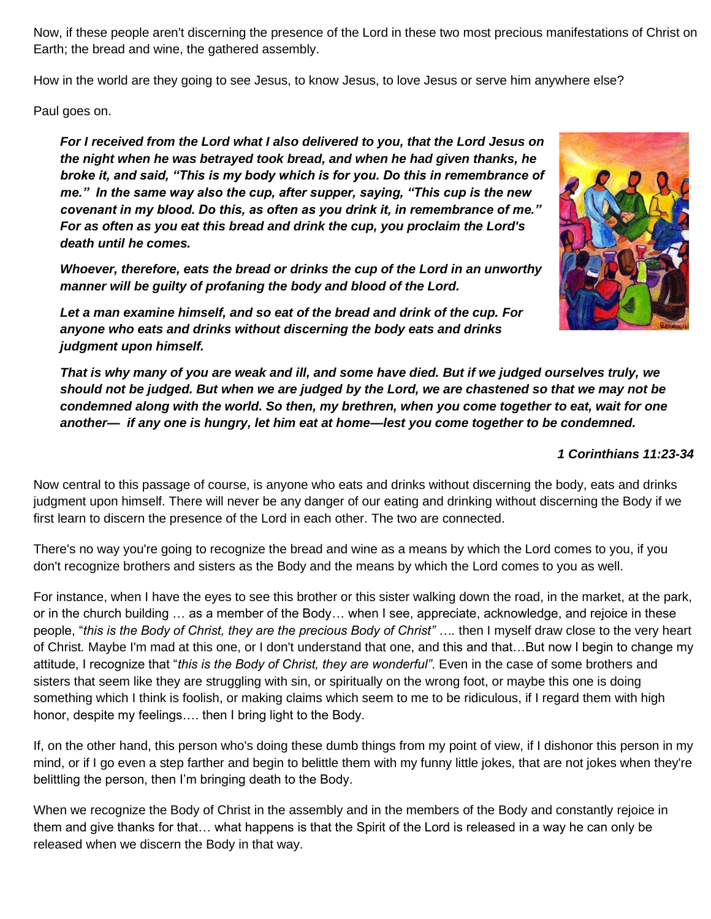Now, if these people aren't discerning the presence of the Lord in these two most precious manifestations of Christ on Earth; the bread and wine, the gathered assembly.

How in the world are they going to see Jesus, to know Jesus, to love Jesus or serve him anywhere else?

Paul goes on.

*For I received from the Lord what I also delivered to you, that the Lord Jesus on the night when he was betrayed took bread, and when he had given thanks, he broke it, and said, "This is my body which is for you. Do this in remembrance of me." In the same way also the cup, after supper, saying, "This cup is the new covenant in my blood. Do this, as often as you drink it, in remembrance of me." For as often as you eat this bread and drink the cup, you proclaim the Lord's death until he comes.*

*Whoever, therefore, eats the bread or drinks the cup of the Lord in an unworthy manner will be guilty of profaning the body and blood of the Lord.* 



*Let a man examine himself, and so eat of the bread and drink of the cup. For anyone who eats and drinks without discerning the body eats and drinks judgment upon himself.* 

*That is why many of you are weak and ill, and some have died. But if we judged ourselves truly, we should not be judged. But when we are judged by the Lord, we are chastened so that we may not be condemned along with the world. So then, my brethren, when you come together to eat, wait for one another— if any one is hungry, let him eat at home—lest you come together to be condemned.*

#### *1 Corinthians 11:23-34*

Now central to this passage of course, is anyone who eats and drinks without discerning the body, eats and drinks judgment upon himself. There will never be any danger of our eating and drinking without discerning the Body if we first learn to discern the presence of the Lord in each other. The two are connected.

There's no way you're going to recognize the bread and wine as a means by which the Lord comes to you, if you don't recognize brothers and sisters as the Body and the means by which the Lord comes to you as well.

For instance, when I have the eyes to see this brother or this sister walking down the road, in the market, at the park, or in the church building … as a member of the Body… when I see, appreciate, acknowledge, and rejoice in these people, "*this is the Body of Christ, they are the precious Body of Christ" ….* then I myself draw close to the very heart of Christ*.* Maybe I'm mad at this one, or I don't understand that one, and this and that…But now I begin to change my attitude, I recognize that "*this is the Body of Christ, they are wonderful"*. Even in the case of some brothers and sisters that seem like they are struggling with sin, or spiritually on the wrong foot, or maybe this one is doing something which I think is foolish, or making claims which seem to me to be ridiculous, if I regard them with high honor, despite my feelings…. then I bring light to the Body.

If, on the other hand, this person who's doing these dumb things from my point of view, if I dishonor this person in my mind, or if I go even a step farther and begin to belittle them with my funny little jokes, that are not jokes when they're belittling the person, then I'm bringing death to the Body.

When we recognize the Body of Christ in the assembly and in the members of the Body and constantly rejoice in them and give thanks for that… what happens is that the Spirit of the Lord is released in a way he can only be released when we discern the Body in that way.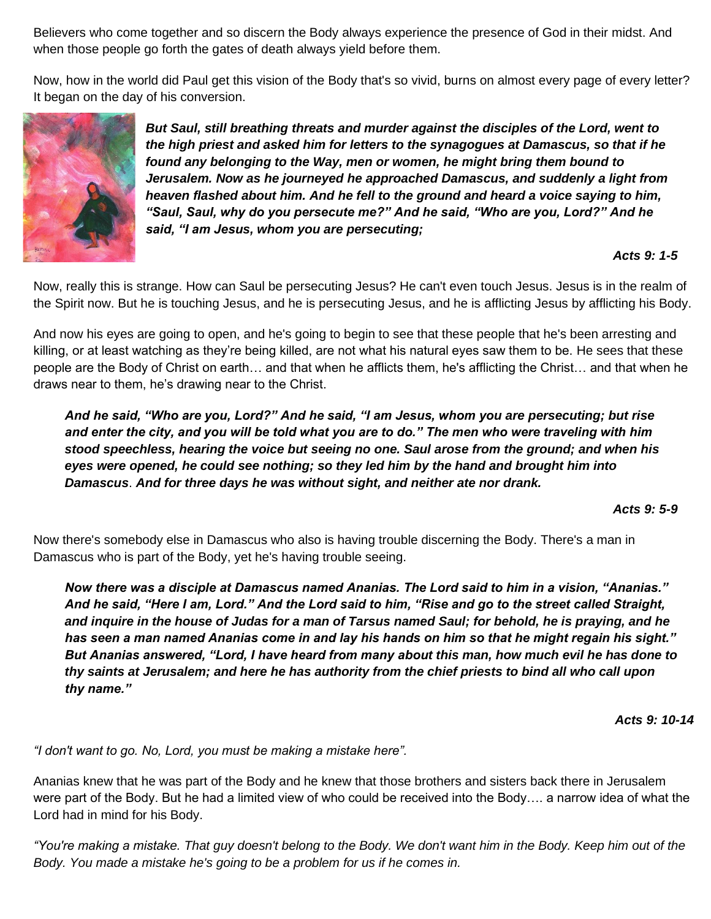Believers who come together and so discern the Body always experience the presence of God in their midst. And when those people go forth the gates of death always yield before them.

Now, how in the world did Paul get this vision of the Body that's so vivid, burns on almost every page of every letter? It began on the day of his conversion.



*But Saul, still breathing threats and murder against the disciples of the Lord, went to the high priest and asked him for letters to the synagogues at Damascus, so that if he found any belonging to the Way, men or women, he might bring them bound to Jerusalem. Now as he journeyed he approached Damascus, and suddenly a light from heaven flashed about him. And he fell to the ground and heard a voice saying to him, "Saul, Saul, why do you persecute me?" And he said, "Who are you, Lord?" And he said, "I am Jesus, whom you are persecuting;*

#### *Acts 9: 1-5*

Now, really this is strange. How can Saul be persecuting Jesus? He can't even touch Jesus. Jesus is in the realm of the Spirit now. But he is touching Jesus, and he is persecuting Jesus, and he is afflicting Jesus by afflicting his Body.

And now his eyes are going to open, and he's going to begin to see that these people that he's been arresting and killing, or at least watching as they're being killed, are not what his natural eyes saw them to be. He sees that these people are the Body of Christ on earth… and that when he afflicts them, he's afflicting the Christ… and that when he draws near to them, he's drawing near to the Christ.

*And he said, "Who are you, Lord?" And he said, "I am Jesus, whom you are persecuting; but rise and enter the city, and you will be told what you are to do." The men who were traveling with him stood speechless, hearing the voice but seeing no one. Saul arose from the ground; and when his eyes were opened, he could see nothing; so they led him by the hand and brought him into Damascus*. *And for three days he was without sight, and neither ate nor drank.*

*Acts 9: 5-9*

Now there's somebody else in Damascus who also is having trouble discerning the Body. There's a man in Damascus who is part of the Body, yet he's having trouble seeing.

*Now there was a disciple at Damascus named Ananias. The Lord said to him in a vision, "Ananias." And he said, "Here I am, Lord." And the Lord said to him, "Rise and go to the street called Straight, and inquire in the house of Judas for a man of Tarsus named Saul; for behold, he is praying, and he has seen a man named Ananias come in and lay his hands on him so that he might regain his sight." But Ananias answered, "Lord, I have heard from many about this man, how much evil he has done to thy saints at Jerusalem; and here he has authority from the chief priests to bind all who call upon thy name."* 

*Acts 9: 10-14*

*"I don't want to go. No, Lord, you must be making a mistake here".*

Ananias knew that he was part of the Body and he knew that those brothers and sisters back there in Jerusalem were part of the Body. But he had a limited view of who could be received into the Body…. a narrow idea of what the Lord had in mind for his Body.

*"You're making a mistake. That guy doesn't belong to the Body. We don't want him in the Body. Keep him out of the Body. You made a mistake he's going to be a problem for us if he comes in.*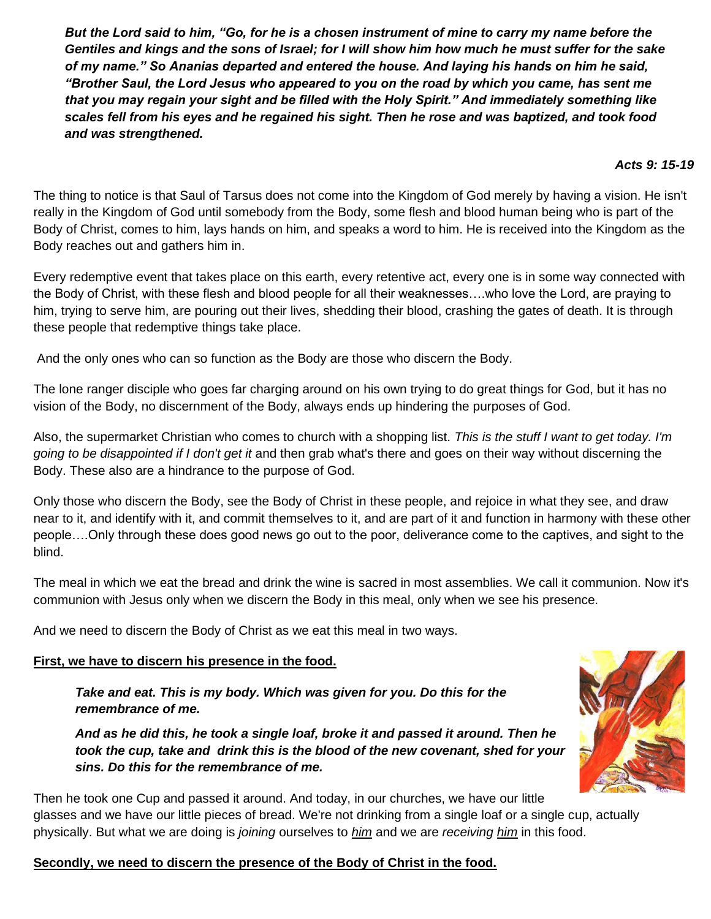*But the Lord said to him, "Go, for he is a chosen instrument of mine to carry my name before the Gentiles and kings and the sons of Israel; for I will show him how much he must suffer for the sake of my name." So Ananias departed and entered the house. And laying his hands on him he said, "Brother Saul, the Lord Jesus who appeared to you on the road by which you came, has sent me that you may regain your sight and be filled with the Holy Spirit." And immediately something like scales fell from his eyes and he regained his sight. Then he rose and was baptized, and took food and was strengthened.*

### *Acts 9: 15-19*

The thing to notice is that Saul of Tarsus does not come into the Kingdom of God merely by having a vision. He isn't really in the Kingdom of God until somebody from the Body, some flesh and blood human being who is part of the Body of Christ, comes to him, lays hands on him, and speaks a word to him. He is received into the Kingdom as the Body reaches out and gathers him in.

Every redemptive event that takes place on this earth, every retentive act, every one is in some way connected with the Body of Christ, with these flesh and blood people for all their weaknesses….who love the Lord, are praying to him, trying to serve him, are pouring out their lives, shedding their blood, crashing the gates of death. It is through these people that redemptive things take place.

And the only ones who can so function as the Body are those who discern the Body.

The lone ranger disciple who goes far charging around on his own trying to do great things for God, but it has no vision of the Body, no discernment of the Body, always ends up hindering the purposes of God.

Also, the supermarket Christian who comes to church with a shopping list. *This is the stuff I want to get today. I'm going to be disappointed if I don't get it* and then grab what's there and goes on their way without discerning the Body. These also are a hindrance to the purpose of God.

Only those who discern the Body, see the Body of Christ in these people, and rejoice in what they see, and draw near to it, and identify with it, and commit themselves to it, and are part of it and function in harmony with these other people….Only through these does good news go out to the poor, deliverance come to the captives, and sight to the blind.

The meal in which we eat the bread and drink the wine is sacred in most assemblies. We call it communion. Now it's communion with Jesus only when we discern the Body in this meal, only when we see his presence.

And we need to discern the Body of Christ as we eat this meal in two ways.

## **First, we have to discern his presence in the food.**

*Take and eat. This is my body. Which was given for you. Do this for the remembrance of me.*

*And as he did this, he took a single loaf, broke it and passed it around. Then he took the cup, take and drink this is the blood of the new covenant, shed for your sins. Do this for the remembrance of me.*



Then he took one Cup and passed it around. And today, in our churches, we have our little glasses and we have our little pieces of bread. We're not drinking from a single loaf or a single cup, actually physically. But what we are doing is *joining* ourselves to *him* and we are *receiving him* in this food.

## **Secondly, we need to discern the presence of the Body of Christ in the food.**